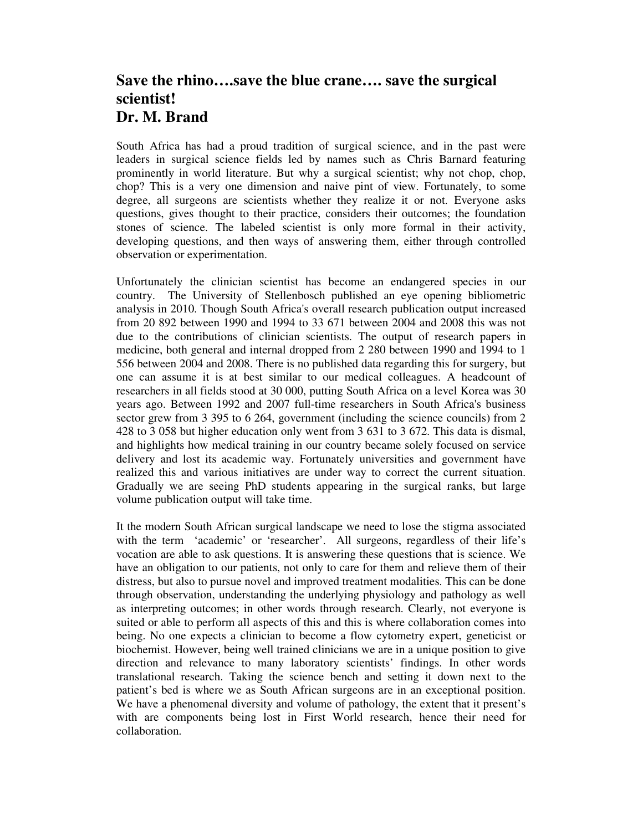## **Save the rhino….save the blue crane…. save the surgical scientist! Dr. M. Brand**

South Africa has had a proud tradition of surgical science, and in the past were leaders in surgical science fields led by names such as Chris Barnard featuring prominently in world literature. But why a surgical scientist; why not chop, chop, chop? This is a very one dimension and naive pint of view. Fortunately, to some degree, all surgeons are scientists whether they realize it or not. Everyone asks questions, gives thought to their practice, considers their outcomes; the foundation stones of science. The labeled scientist is only more formal in their activity, developing questions, and then ways of answering them, either through controlled observation or experimentation.

Unfortunately the clinician scientist has become an endangered species in our country. The University of Stellenbosch published an eye opening bibliometric analysis in 2010. Though South Africa's overall research publication output increased from 20 892 between 1990 and 1994 to 33 671 between 2004 and 2008 this was not due to the contributions of clinician scientists. The output of research papers in medicine, both general and internal dropped from 2 280 between 1990 and 1994 to 1 556 between 2004 and 2008. There is no published data regarding this for surgery, but one can assume it is at best similar to our medical colleagues. A headcount of researchers in all fields stood at 30 000, putting South Africa on a level Korea was 30 years ago. Between 1992 and 2007 full-time researchers in South Africa's business sector grew from 3 395 to 6 264, government (including the science councils) from 2 428 to 3 058 but higher education only went from 3 631 to 3 672. This data is dismal, and highlights how medical training in our country became solely focused on service delivery and lost its academic way. Fortunately universities and government have realized this and various initiatives are under way to correct the current situation. Gradually we are seeing PhD students appearing in the surgical ranks, but large volume publication output will take time.

It the modern South African surgical landscape we need to lose the stigma associated with the term 'academic' or 'researcher'. All surgeons, regardless of their life's vocation are able to ask questions. It is answering these questions that is science. We have an obligation to our patients, not only to care for them and relieve them of their distress, but also to pursue novel and improved treatment modalities. This can be done through observation, understanding the underlying physiology and pathology as well as interpreting outcomes; in other words through research. Clearly, not everyone is suited or able to perform all aspects of this and this is where collaboration comes into being. No one expects a clinician to become a flow cytometry expert, geneticist or biochemist. However, being well trained clinicians we are in a unique position to give direction and relevance to many laboratory scientists' findings. In other words translational research. Taking the science bench and setting it down next to the patient's bed is where we as South African surgeons are in an exceptional position. We have a phenomenal diversity and volume of pathology, the extent that it present's with are components being lost in First World research, hence their need for collaboration.